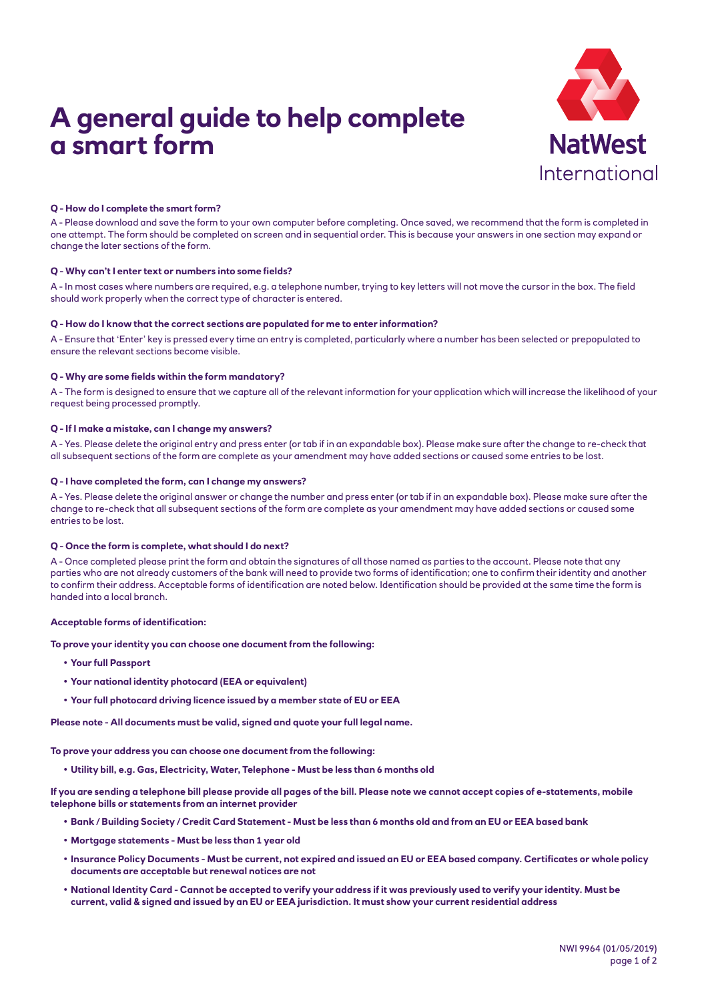# **A general guide to help complete a smart form**



# **Q - How do I complete the smart form?**

A - Please download and save the form to your own computer before completing. Once saved, we recommend that the form is completed in one attempt. The form should be completed on screen and in sequential order. This is because your answers in one section may expand or change the later sections of the form.

### **Q - Why can't I enter text or numbers into some fields?**

A - In most cases where numbers are required, e.g. a telephone number, trying to key letters will not move the cursor in the box. The field should work properly when the correct type of character is entered.

#### **Q - How do I know that the correct sections are populated for me to enter information?**

A - Ensure that 'Enter' key is pressed every time an entry is completed, particularly where a number has been selected or prepopulated to ensure the relevant sections become visible.

### **Q - Why are some fields within the form mandatory?**

A - The form is designed to ensure that we capture all of the relevant information for your application which will increase the likelihood of your request being processed promptly.

## **Q - If I make a mistake, can I change my answers?**

A - Yes. Please delete the original entry and press enter (or tab if in an expandable box). Please make sure after the change to re-check that all subsequent sections of the form are complete as your amendment may have added sections or caused some entries to be lost.

#### **Q - I have completed the form, can I change my answers?**

A - Yes. Please delete the original answer or change the number and press enter (or tab if in an expandable box). Please make sure after the change to re-check that all subsequent sections of the form are complete as your amendment may have added sections or caused some entries to be lost.

# **Q - Once the form is complete, what should I do next?**

A - Once completed please print the form and obtain the signatures of all those named as parties to the account. Please note that any parties who are not already customers of the bank will need to provide two forms of identification; one to confirm their identity and another to confirm their address. Acceptable forms of identification are noted below. Identification should be provided at the same time the form is handed into a local branch.

#### **Acceptable forms of identification:**

**To prove your identity you can choose one document from the following:**

- **• Your full Passport**
- **• Your national identity photocard (EEA or equivalent)**
- **• Your full photocard driving licence issued by a member state of EU or EEA**

**Please note - All documents must be valid, signed and quote your full legal name.**

**To prove your address you can choose one document from the following:**

**• Utility bill, e.g. Gas, Electricity, Water, Telephone - Must be less than 6 months old**

**If you are sending a telephone bill please provide all pages of the bill. Please note we cannot accept copies of e-statements, mobile telephone bills or statements from an internet provider**

- **• Bank / Building Society / Credit Card Statement Must be less than 6 months old and from an EU or EEA based bank**
- **• Mortgage statements Must be less than 1 year old**
- **• Insurance Policy Documents Must be current, not expired and issued an EU or EEA based company. Certificates or whole policy documents are acceptable but renewal notices are not**
- **• National Identity Card Cannot be accepted to verify your address if it was previously used to verify your identity. Must be current, valid & signed and issued by an EU or EEA jurisdiction. It must show your current residential address**